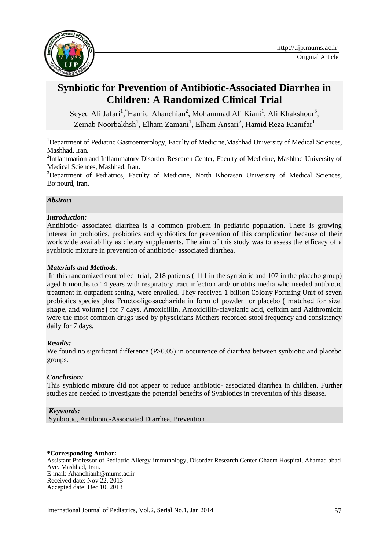

# **Synbiotic for Prevention of Antibiotic-Associated Diarrhea in Children: A Randomized Clinical Trial**

Seyed Ali Jafari<sup>1</sup>, Hamid Ahanchian<sup>2</sup>, Mohammad Ali Kiani<sup>1</sup>, Ali Khakshour<sup>3</sup>, Zeinab Noorbakhsh<sup>1</sup>, Elham Zamani<sup>1</sup>, Elham Ansari<sup>2</sup>, Hamid Reza Kianifar<sup>1</sup>

<sup>1</sup>Department of Pediatric Gastroenterology, Faculty of Medicine, Mashhad University of Medical Sciences, Mashhad, Iran.

<sup>2</sup>Inflammation and Inflammatory Disorder Research Center, Faculty of Medicine, Mashhad University of Medical Sciences, Mashhad, Iran.

<sup>3</sup>Department of Pediatrics, Faculty of Medicine, North Khorasan University of Medical Sciences, Bojnourd, Iran.

# *Abstract*

# *Introduction:*

Antibiotic- associated diarrhea is a common problem in pediatric population. There is growing interest in probiotics, probiotics and synbiotics for prevention of this complication because of their worldwide availability as dietary supplements. The aim of this study was to assess the efficacy of a synbiotic mixture in prevention of antibiotic- associated diarrhea.

# *Materials and Methods:*

In this randomized controlled trial, 218 patients ( 111 in the synbiotic and 107 in the placebo group) aged 6 months to 14 years with respiratory tract infection and/ or otitis media who needed antibiotic treatment in outpatient setting, were enrolled. They received 1 billion Colony Forming Unit of seven probiotics species plus Fructooligosaccharide in form of powder or placebo ( matched for size, shape, and volume) for 7 days. Amoxicillin, Amoxicillin-clavalanic acid, cefixim and Azithromicin were the most common drugs used by physcicians Mothers recorded stool frequency and consistency daily for 7 days.

# *Results:*

We found no significant difference (P>0.05) in occurrence of diarrhea between synbiotic and placebo groups.

# *Conclusion:*

This synbiotic mixture did not appear to reduce antibiotic- associated diarrhea in children. Further studies are needed to investigate the potential benefits of Synbiotics in prevention of this disease.

# *Keywords:*

Synbiotic, Antibiotic-Associated Diarrhea, Prevention

#### **. \*Corresponding Author:**

Assistant Professor of Pediatric Allergy-immunology, Disorder Research Center Ghaem Hospital, Ahamad abad Ave. Mashhad, Iran. E-mail: Ahanchianh@mums.ac.ir Received date: Nov 22, 2013 Accepted date: Dec 10, 2013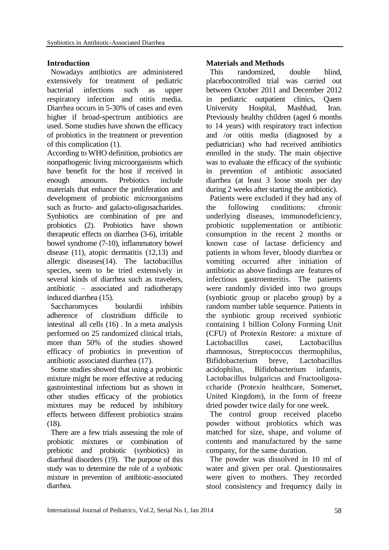# **Introduction**

Nowadays antibiotics are administered extensively for treatment of pediatric bacterial infections such as upper respiratory infection and otitis media. Diarrhea occurs in 5-30% of cases and even higher if broad-spectrum antibiotics are used. Some studies have shown the efficacy of probiotics in the treatment or prevention of this complication (1).

According to WHO definition, probiotics are nonpathogenic living microorganisms which have benefit for the host if received in enough amounts. Prebiotics include materials that enhance the proliferation and development of probiotic microorganisms such as fructo- and galacto-oligosacharides. Synbiotics are combination of pre and probiotics (2). Probiotics have shown therapeutic effects on diarrhea (3-6), irritable bowel syndrome (7-10), inflammatory bowel disease (11), atopic dermatitis (12,13) and allergic diseases(14). The lactobacillus species, seem to be tried extensively in several kinds of diarrhea such as travelers, antibiotic – associated and radiotherapy induced diarrhea (15).

Saccharomyces boulardii inhibits adherence of clostridium difficile to intestinal all cells (16) . In a meta analysis performed on 25 randomized clinical trials, more than 50% of the studies showed efficacy of probiotics in prevention of antibiotic associated diarrhea (17).

Some studies showed that using a probiotic mixture might be more effective at reducing gastrointestinal infections but as shown in other studies efficacy of the probiotics mixtures may be reduced by inhibitory effects between different probiotics strains (18).

There are a few trials assessing the role of probiotic mixtures or combination of prebiotic and probiotic (synbiotics) in diarrheal disorders (19). The purpose of this study was to determine the role of a synbiotic mixture in prevention of antibiotic-associated diarrhea.

# **Materials and Methods**

This randomized, double blind, placebocontrolled trial was carried out between October 2011 and December 2012 in pediatric outpatient clinics, Qaem University Hospital, Mashhad, Iran. Previously healthy children (aged 6 months to 14 years) with respiratory tract infection and /or otitis media (diagnosed by a pediatrician) who had received antibiotics enrolled in the study. The main objective was to evaluate the efficacy of the synbiotic in prevention of antibiotic associated diarrhea (at least 3 loose stools per day during 2 weeks after starting the antibiotic).

Patients were excluded if they had any of the following conditions: chronic underlying diseases, immunodeficiency, probiotic supplementation or antibiotic consumption in the recent 2 months or known case of lactase deficiency and patients in whom fever, bloody diarrhea or vomiting occurred after initiation of antibiotic as above findings are features of infectious gastroenteritis. The patients were randomly divided into two groups (synbiotic group or placebo group) by a random number table sequence. Patients in the synbiotic group received synbiotic containing 1 billion Colony Forming Unit (CFU) of Protexin Restore: a mixture of Lactobacillus casei, Lactobacillus rhamnosus, Streptococcus thermophilus, Bifidobacterium breve, Lactobacillus acidophilus, Bifidobacterium infantis, Lactobacillus bulgaricus and Fructooligosaccharide (Protexin healthcare, Somerset, United Kingdom), in the form of freeze dried powder twice daily for one week.

The control group received placebo powder without probiotics which was matched for size, shape, and volume of contents and manufactured by the same company, for the same duration.

The powder was dissolved in 10 ml of water and given per oral. Questionnaires were given to mothers. They recorded stool consistency and frequency daily in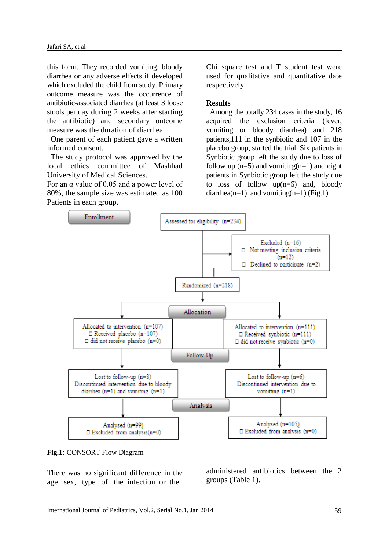this form. They recorded vomiting, bloody diarrhea or any adverse effects if developed which excluded the child from study. Primary outcome measure was the occurrence of antibiotic-associated diarrhea (at least 3 loose stools per day during 2 weeks after starting the antibiotic) and secondary outcome measure was the duration of diarrhea.

One parent of each patient gave a written informed consent.

The study protocol was approved by the local ethics committee of Mashhad University of Medical Sciences.

For an  $\alpha$  value of 0.05 and a power level of 80%, the sample size was estimated as 100 Patients in each group.

Chi square test and T student test were used for qualitative and quantitative date respectively.

### **Results**

Among the totally 234 cases in the study, 16 acquired the exclusion criteria (fever, vomiting or bloody diarrhea) and 218 patients,111 in the synbiotic and 107 in the placebo group, started the trial. Six patients in Synbiotic group left the study due to loss of follow up  $(n=5)$  and vomiting $(n=1)$  and eight patients in Synbiotic group left the study due to loss of follow  $up(n=6)$  and, bloody diarrhea(n=1) and vomiting(n=1) (Fig.1).



### **Fig.1:** CONSORT Flow Diagram

There was no significant difference in the age, sex, type of the infection or the

administered antibiotics between the 2 groups (Table 1).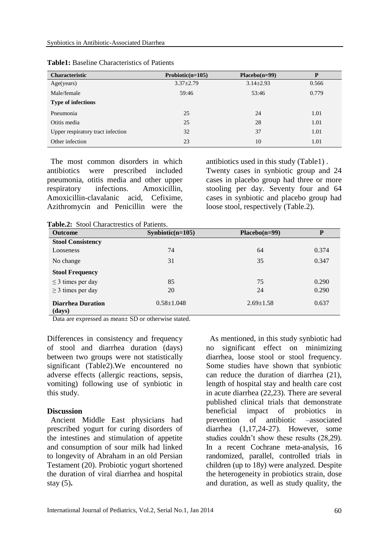| <b>Characteristic</b>             | Probiotic( $n=105$ ) | $Placebo(n=99)$ | P     |
|-----------------------------------|----------------------|-----------------|-------|
| Age(years)                        | $3.37 \pm 2.79$      | $3.14 \pm 2.93$ | 0.566 |
| Male/female                       | 59:46                | 53:46           | 0.779 |
| <b>Type of infections</b>         |                      |                 |       |
| Pneumonia                         | 25                   | 24              | 1.01  |
| Otitis media                      | 25                   | 28              | 1.01  |
| Upper respiratory tract infection | 32                   | 37              | 1.01  |
| Other infection                   | 23                   | 10              | 1.01  |

### **Table1:** Baseline Characteristics of Patients

The most common disorders in which antibiotics were prescribed included pneumonia, otitis media and other upper respiratory infections. Amoxicillin, Amoxicillin-clavalanic acid, Cefixime, Azithromycin and Penicillin were the

antibiotics used in this study (Table1) . Twenty cases in synbiotic group and 24 cases in placebo group had three or more stooling per day. Seventy four and 64 cases in synbiotic and placebo group had loose stool, respectively (Table.2).

**Table.2:** Stool Charactrestics of Patients.

| <b>Outcome</b>                     |                    |                 | P     |
|------------------------------------|--------------------|-----------------|-------|
|                                    | $Synbiotic(n=105)$ | $Placebo(n=99)$ |       |
| <b>Stool Consistency</b>           |                    |                 |       |
| Looseness                          | 74                 | 64              | 0.374 |
| No change                          | 31                 | 35              | 0.347 |
| <b>Stool Frequency</b>             |                    |                 |       |
| $\leq$ 3 times per day             | 85                 | 75              | 0.290 |
| $\geq$ 3 times per day             | 20                 | 24              | 0.290 |
| <b>Diarrhea Duration</b><br>(days) | $0.58 \pm 1.048$   | $2.69 \pm 1.58$ | 0.637 |

Data are expressed as mean  $\pm$  SD or otherwise stated.

Differences in consistency and frequency of stool and diarrhea duration (days) between two groups were not statistically significant (Table2).We encountered no adverse effects (allergic reactions, sepsis, vomiting) following use of synbiotic in this study.

### **Discussion**

Ancient Middle East physicians had prescribed yogurt for curing disorders of the intestines and stimulation of appetite and consumption of sour milk had linked to longevity of Abraham in an old Persian Testament (20). Probiotic yogurt shortened the duration of viral diarrhea and hospital stay (5)**.**

As mentioned, in this study synbiotic had no significant effect on minimizing diarrhea, loose stool or stool frequency. Some studies have shown that synbiotic can reduce the duration of diarrhea (21), length of hospital stay and health care cost in acute diarrhea (22,23). There are several published clinical trials that demonstrate beneficial impact of probiotics in prevention of antibiotic –associated diarrhea (1,17,24-27). However, some studies couldn't show these results (28,29). In a recent Cochrane meta-analysis, 16 randomized, parallel, controlled trials in children (up to 18y) were analyzed. Despite the heterogeneity in probiotics strain, dose and duration, as well as study quality, the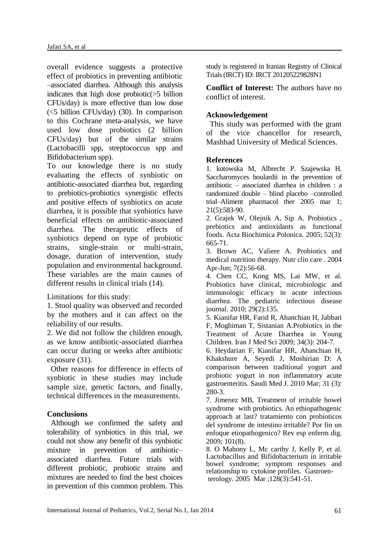overall evidence suggests a protective effect of probiotics in preventing antibiotic –associated diarrhea. Although this analysis indicates that high dose probiotic(>5 billion CFUs/day) is more effective than low dose (<5 billion CFUs/day) (30). In comparison to this Cochrane meta-analysis, we have used low dose probiotics (2 billion CFUs/day) but of the similar strains (Lactobacilli spp, streptococcus spp and Bifidobacterium spp).

To our knowledge there is no study evaluating the effects of synbiotic on antibiotic-associated diarrhea but, regarding to prebiotics-probiotics synergistic effects and positive effects of synbiotics on acute diarrhea, it is possible that synbiotics have beneficial effects on antibiotic-associated diarrhea. The therapeutic effects of synbiotics depend on type of probiotic strains, single-strain or multi-strain, dosage, duration of intervention, study population and environmental background. These variables are the main causes of different results in clinical trials (14).

Limitations for this study:

1. Stool quality was observed and recorded by the mothers and it can affect on the reliability of our results.

2. We did not follow the children enough, as we know antibiotic-associated diarrhea can occur during or weeks after antibiotic exposure (31).

Other reasons for difference in effects of synbiotic in these studies may include sample size, genetic factors, and finally, technical differences in the measurements.

# **Conclusions**

Although we confirmed the safety and tolerability of synbiotics in this trial, we could not show any benefit of this synbiotic mixture in prevention of antibiotic– associated diarrhea. Future trials with different probiotic, probiotic strains and mixtures are needed to find the best choices in prevention of this common problem. This study is registered in Iranian Registry of Clinical Trials (IRCT) ID: IRCT 201205229828N1

**Conflict of Interest:** The authors have no conflict of interest.

# **Acknowledgement**

This study was performed with the grant of the vice chancellor for research, Mashhad University of Medical Sciences.

# **References**

1. kotowska M, Albrecht P. Szajewska H. Saccharomyces boulardii in the prevention of antibiotic – associated diarrhea in children : a randomized double – blind placebo –controlled trial–Aliment pharmacol ther 2005 mar 1; 21(5):583-90.

2. Grajek W, Olejnik A, Sip A. Probiotics , prebiotics and antioxidants as functional foods. Acta Biochimica Polonica. 2005; 52(3): 665-71.

3. Brown AC, Valiere A. Probiotics and medical nutrition therapy. Nutr clin care . 2004 Apr-Jun; 7(2):56-68.

4. Chen CC, Kong MS, Lai MW, et al. Probiotics have clinical, microbiologic and immunologic efficacy in acute infectious diarrhea. The pediatric infectious disease journal. 2010; 29(2):135.

5. Kianifar HR, Farid R, Ahanchian H, Jabbari F, Moghiman T, Sistanian A.Probiotics in the Treatment of Acute Diarrhea in Young Children. Iran J Med Sci 2009; 34(3): 204-7.

6. Heydarian F, Kianifar HR, Ahanchian H, Khakshure A, Seyedi J, Moshirian D: A comparison between traditional yogurt and probiotic yogurt in non inflammatory acute gastroenteritis. Saudi Med J. 2010 Mar; 31 (3): 280-3.

7. Jimenez MB, Treatment of irritable bowel syndrome with probiotics. An ethiopathogenic approach at last? tratamiento con probioticos del syndrome de intestino irritable? Por fin un enfoque etiopathogenico? Rev esp enferm dig. 2009; 101(8).

8. O Mahony L, Mc carthy J, Kelly P, et al. Lactobacillus and Bifidobacterium in irritable bowel syndrome; symptom responses and relationship to cytokine profiles. Gastroenterology. 2005 Mar ;128(3):541-51.